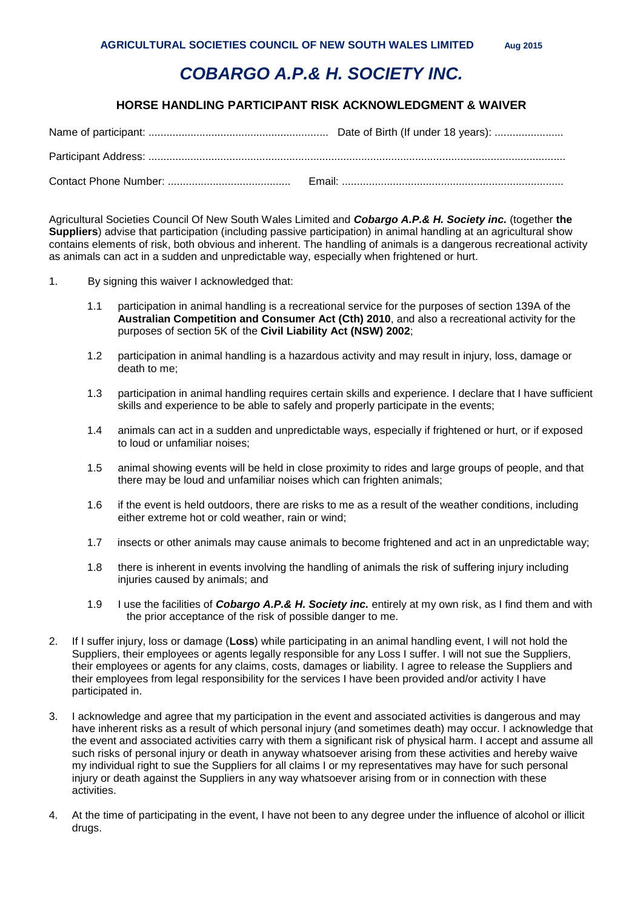## *COBARGO A.P.& H. SOCIETY INC.*

## **HORSE HANDLING PARTICIPANT RISK ACKNOWLEDGMENT & WAIVER**

Agricultural Societies Council Of New South Wales Limited and *Cobargo A.P.& H. Society inc.* (together **the Suppliers**) advise that participation (including passive participation) in animal handling at an agricultural show contains elements of risk, both obvious and inherent. The handling of animals is a dangerous recreational activity as animals can act in a sudden and unpredictable way, especially when frightened or hurt.

1. By signing this waiver I acknowledged that:

- 1.1 participation in animal handling is a recreational service for the purposes of section 139A of the **Australian Competition and Consumer Act (Cth) 2010**, and also a recreational activity for the purposes of section 5K of the **Civil Liability Act (NSW) 2002**;
- 1.2 participation in animal handling is a hazardous activity and may result in injury, loss, damage or death to me;
- 1.3 participation in animal handling requires certain skills and experience. I declare that I have sufficient skills and experience to be able to safely and properly participate in the events;
- 1.4 animals can act in a sudden and unpredictable ways, especially if frightened or hurt, or if exposed to loud or unfamiliar noises;
- 1.5 animal showing events will be held in close proximity to rides and large groups of people, and that there may be loud and unfamiliar noises which can frighten animals;
- 1.6 if the event is held outdoors, there are risks to me as a result of the weather conditions, including either extreme hot or cold weather, rain or wind;
- 1.7 insects or other animals may cause animals to become frightened and act in an unpredictable way;
- 1.8 there is inherent in events involving the handling of animals the risk of suffering injury including injuries caused by animals; and
- 1.9 I use the facilities of *Cobargo A.P.& H. Society inc.* entirely at my own risk, as I find them and with the prior acceptance of the risk of possible danger to me.
- 2. If I suffer injury, loss or damage (**Loss**) while participating in an animal handling event, I will not hold the Suppliers, their employees or agents legally responsible for any Loss I suffer. I will not sue the Suppliers, their employees or agents for any claims, costs, damages or liability. I agree to release the Suppliers and their employees from legal responsibility for the services I have been provided and/or activity I have participated in.
- 3. I acknowledge and agree that my participation in the event and associated activities is dangerous and may have inherent risks as a result of which personal injury (and sometimes death) may occur. I acknowledge that the event and associated activities carry with them a significant risk of physical harm. I accept and assume all such risks of personal injury or death in anyway whatsoever arising from these activities and hereby waive my individual right to sue the Suppliers for all claims I or my representatives may have for such personal injury or death against the Suppliers in any way whatsoever arising from or in connection with these activities.
- 4. At the time of participating in the event, I have not been to any degree under the influence of alcohol or illicit drugs.